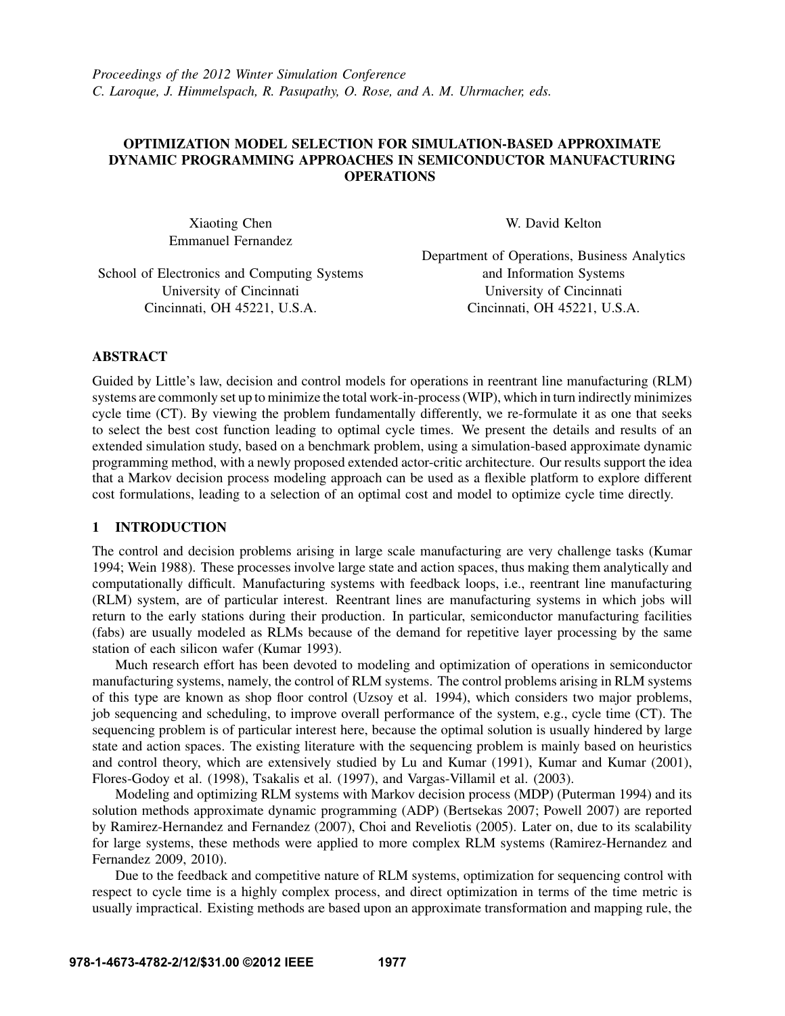*Proceedings of the 2012 Winter Simulation Conference C. Laroque, J. Himmelspach, R. Pasupathy, O. Rose, and A. M. Uhrmacher, eds.*

# OPTIMIZATION MODEL SELECTION FOR SIMULATION-BASED APPROXIMATE DYNAMIC PROGRAMMING APPROACHES IN SEMICONDUCTOR MANUFACTURING **OPERATIONS**

Xiaoting Chen Emmanuel Fernandez W. David Kelton

School of Electronics and Computing Systems University of Cincinnati Cincinnati, OH 45221, U.S.A.

Department of Operations, Business Analytics and Information Systems University of Cincinnati Cincinnati, OH 45221, U.S.A.

## ABSTRACT

Guided by Little's law, decision and control models for operations in reentrant line manufacturing (RLM) systems are commonly set up to minimize the total work-in-process (WIP), which in turn indirectly minimizes cycle time (CT). By viewing the problem fundamentally differently, we re-formulate it as one that seeks to select the best cost function leading to optimal cycle times. We present the details and results of an extended simulation study, based on a benchmark problem, using a simulation-based approximate dynamic programming method, with a newly proposed extended actor-critic architecture. Our results support the idea that a Markov decision process modeling approach can be used as a flexible platform to explore different cost formulations, leading to a selection of an optimal cost and model to optimize cycle time directly.

# 1 INTRODUCTION

The control and decision problems arising in large scale manufacturing are very challenge tasks (Kumar 1994; Wein 1988). These processes involve large state and action spaces, thus making them analytically and computationally difficult. Manufacturing systems with feedback loops, i.e., reentrant line manufacturing (RLM) system, are of particular interest. Reentrant lines are manufacturing systems in which jobs will return to the early stations during their production. In particular, semiconductor manufacturing facilities (fabs) are usually modeled as RLMs because of the demand for repetitive layer processing by the same station of each silicon wafer (Kumar 1993).

Much research effort has been devoted to modeling and optimization of operations in semiconductor manufacturing systems, namely, the control of RLM systems. The control problems arising in RLM systems of this type are known as shop floor control (Uzsoy et al. 1994), which considers two major problems, job sequencing and scheduling, to improve overall performance of the system, e.g., cycle time (CT). The sequencing problem is of particular interest here, because the optimal solution is usually hindered by large state and action spaces. The existing literature with the sequencing problem is mainly based on heuristics and control theory, which are extensively studied by Lu and Kumar (1991), Kumar and Kumar (2001), Flores-Godoy et al. (1998), Tsakalis et al. (1997), and Vargas-Villamil et al. (2003).

Modeling and optimizing RLM systems with Markov decision process (MDP) (Puterman 1994) and its solution methods approximate dynamic programming (ADP) (Bertsekas 2007; Powell 2007) are reported by Ramirez-Hernandez and Fernandez (2007), Choi and Reveliotis (2005). Later on, due to its scalability for large systems, these methods were applied to more complex RLM systems (Ramirez-Hernandez and Fernandez 2009, 2010).

Due to the feedback and competitive nature of RLM systems, optimization for sequencing control with respect to cycle time is a highly complex process, and direct optimization in terms of the time metric is usually impractical. Existing methods are based upon an approximate transformation and mapping rule, the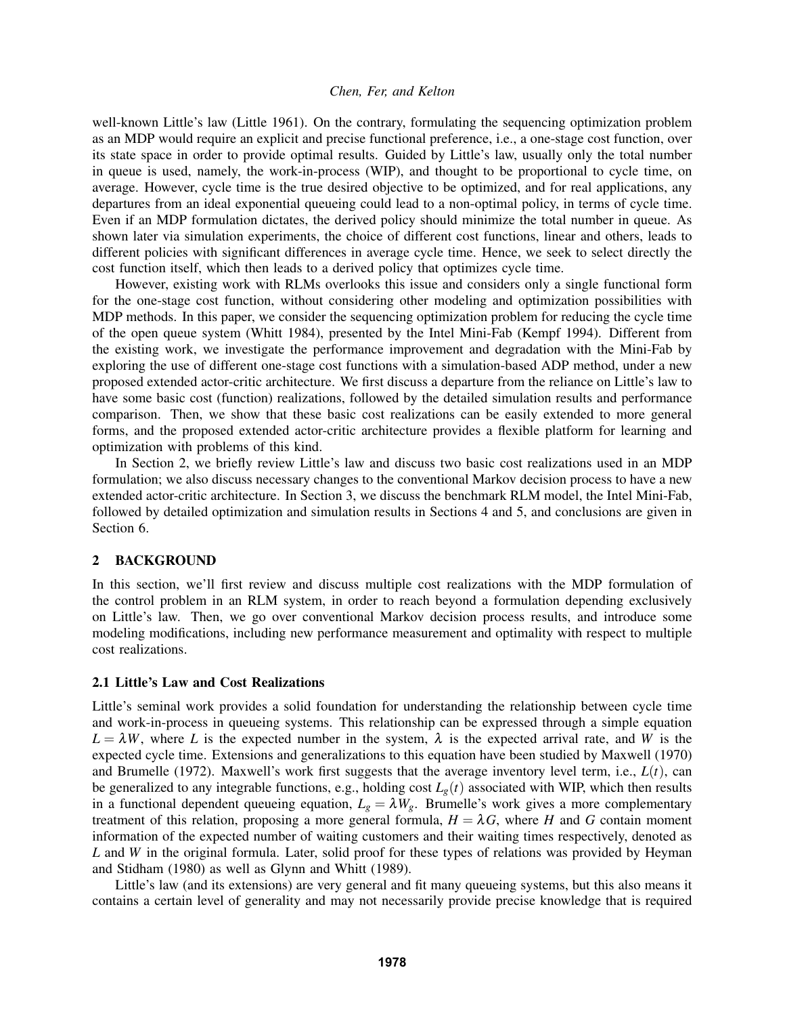well-known Little's law (Little 1961). On the contrary, formulating the sequencing optimization problem as an MDP would require an explicit and precise functional preference, i.e., a one-stage cost function, over its state space in order to provide optimal results. Guided by Little's law, usually only the total number in queue is used, namely, the work-in-process (WIP), and thought to be proportional to cycle time, on average. However, cycle time is the true desired objective to be optimized, and for real applications, any departures from an ideal exponential queueing could lead to a non-optimal policy, in terms of cycle time. Even if an MDP formulation dictates, the derived policy should minimize the total number in queue. As shown later via simulation experiments, the choice of different cost functions, linear and others, leads to different policies with significant differences in average cycle time. Hence, we seek to select directly the cost function itself, which then leads to a derived policy that optimizes cycle time.

However, existing work with RLMs overlooks this issue and considers only a single functional form for the one-stage cost function, without considering other modeling and optimization possibilities with MDP methods. In this paper, we consider the sequencing optimization problem for reducing the cycle time of the open queue system (Whitt 1984), presented by the Intel Mini-Fab (Kempf 1994). Different from the existing work, we investigate the performance improvement and degradation with the Mini-Fab by exploring the use of different one-stage cost functions with a simulation-based ADP method, under a new proposed extended actor-critic architecture. We first discuss a departure from the reliance on Little's law to have some basic cost (function) realizations, followed by the detailed simulation results and performance comparison. Then, we show that these basic cost realizations can be easily extended to more general forms, and the proposed extended actor-critic architecture provides a flexible platform for learning and optimization with problems of this kind.

In Section 2, we briefly review Little's law and discuss two basic cost realizations used in an MDP formulation; we also discuss necessary changes to the conventional Markov decision process to have a new extended actor-critic architecture. In Section 3, we discuss the benchmark RLM model, the Intel Mini-Fab, followed by detailed optimization and simulation results in Sections 4 and 5, and conclusions are given in Section 6.

### 2 BACKGROUND

In this section, we'll first review and discuss multiple cost realizations with the MDP formulation of the control problem in an RLM system, in order to reach beyond a formulation depending exclusively on Little's law. Then, we go over conventional Markov decision process results, and introduce some modeling modifications, including new performance measurement and optimality with respect to multiple cost realizations.

# 2.1 Little's Law and Cost Realizations

Little's seminal work provides a solid foundation for understanding the relationship between cycle time and work-in-process in queueing systems. This relationship can be expressed through a simple equation  $L = \lambda W$ , where *L* is the expected number in the system,  $\lambda$  is the expected arrival rate, and *W* is the expected cycle time. Extensions and generalizations to this equation have been studied by Maxwell (1970) and Brumelle (1972). Maxwell's work first suggests that the average inventory level term, i.e., *L*(*t*), can be generalized to any integrable functions, e.g., holding cost  $L_g(t)$  associated with WIP, which then results in a functional dependent queueing equation,  $L_g = \lambda W_g$ . Brumelle's work gives a more complementary treatment of this relation, proposing a more general formula,  $H = \lambda G$ , where *H* and *G* contain moment information of the expected number of waiting customers and their waiting times respectively, denoted as *L* and *W* in the original formula. Later, solid proof for these types of relations was provided by Heyman and Stidham (1980) as well as Glynn and Whitt (1989).

Little's law (and its extensions) are very general and fit many queueing systems, but this also means it contains a certain level of generality and may not necessarily provide precise knowledge that is required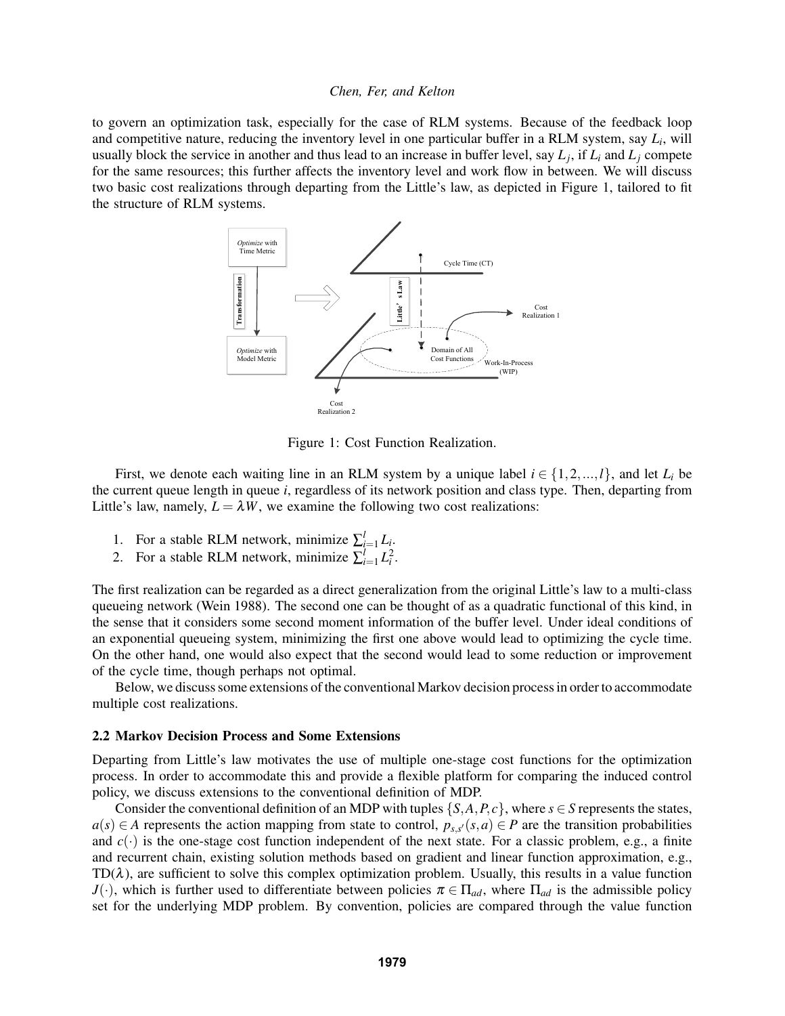to govern an optimization task, especially for the case of RLM systems. Because of the feedback loop and competitive nature, reducing the inventory level in one particular buffer in a RLM system, say *L<sup>i</sup>* , will usually block the service in another and thus lead to an increase in buffer level, say  $L_j$ , if  $L_i$  and  $L_j$  compete for the same resources; this further affects the inventory level and work flow in between. We will discuss two basic cost realizations through departing from the Little's law, as depicted in Figure 1, tailored to fit the structure of RLM systems.



Figure 1: Cost Function Realization.

First, we denote each waiting line in an RLM system by a unique label  $i \in \{1, 2, ..., l\}$ , and let  $L_i$  be the current queue length in queue *i*, regardless of its network position and class type. Then, departing from Little's law, namely,  $L = \lambda W$ , we examine the following two cost realizations:

- 1. For a stable RLM network, minimize  $\sum_{i=1}^{l} L_i$ .
- 2. For a stable RLM network, minimize  $\sum_{i=1}^{l} L_i^2$ .

The first realization can be regarded as a direct generalization from the original Little's law to a multi-class queueing network (Wein 1988). The second one can be thought of as a quadratic functional of this kind, in the sense that it considers some second moment information of the buffer level. Under ideal conditions of an exponential queueing system, minimizing the first one above would lead to optimizing the cycle time. On the other hand, one would also expect that the second would lead to some reduction or improvement of the cycle time, though perhaps not optimal.

Below, we discuss some extensions of the conventional Markov decision process in order to accommodate multiple cost realizations.

#### 2.2 Markov Decision Process and Some Extensions

Departing from Little's law motivates the use of multiple one-stage cost functions for the optimization process. In order to accommodate this and provide a flexible platform for comparing the induced control policy, we discuss extensions to the conventional definition of MDP.

Consider the conventional definition of an MDP with tuples  $\{S, A, P, c\}$ , where  $s \in S$  represents the states, *a*(*s*) ∈ *A* represents the action mapping from state to control,  $p_{s,s'}(s,a) \in P$  are the transition probabilities and  $c(\cdot)$  is the one-stage cost function independent of the next state. For a classic problem, e.g., a finite and recurrent chain, existing solution methods based on gradient and linear function approximation, e.g.,  $TD(\lambda)$ , are sufficient to solve this complex optimization problem. Usually, this results in a value function *J*(·), which is further used to differentiate between policies  $\pi \in \Pi_{ad}$ , where  $\Pi_{ad}$  is the admissible policy set for the underlying MDP problem. By convention, policies are compared through the value function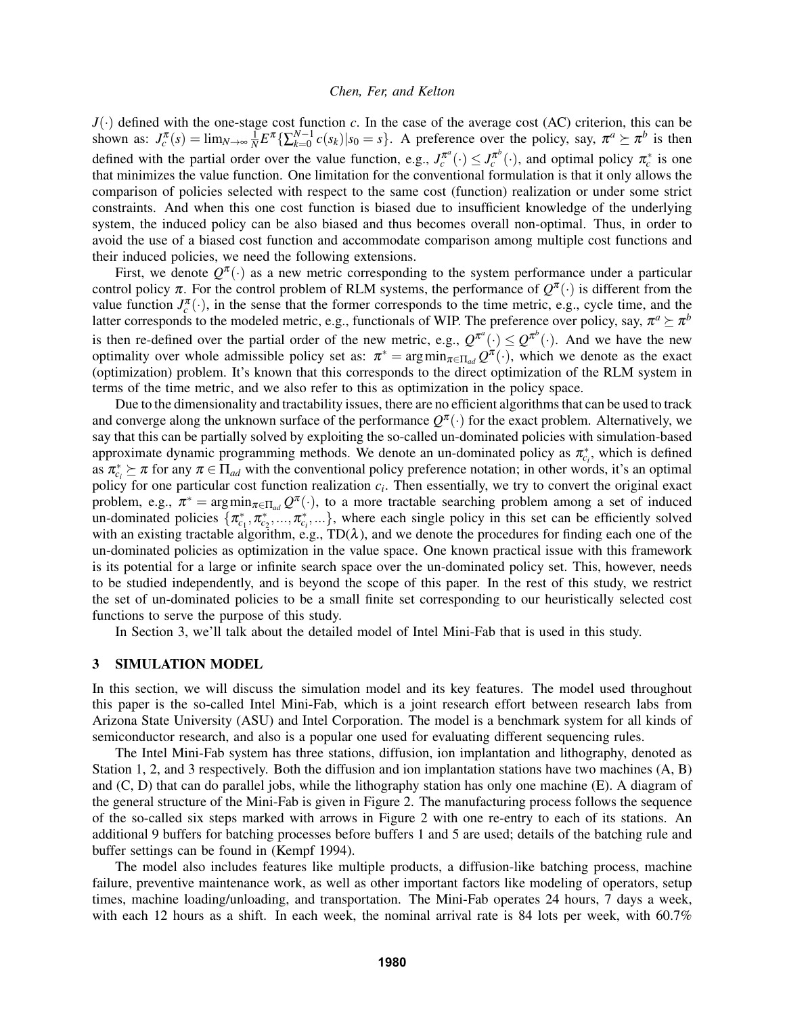*J*(·) defined with the one-stage cost function *c*. In the case of the average cost (AC) criterion, this can be shown as:  $J_c^{\pi}(s) = \lim_{N \to \infty} \frac{1}{N} E^{\pi} \{ \sum_{k=0}^{N-1} c(s_k) | s_0 = s \}$ . A preference over the policy, say,  $\pi^a \succeq \pi^b$  is then defined with the partial order over the value function, e.g.,  $J_c^{\pi a}$  $J_c^{\pi^a}(\cdot) \leq J_c^{\pi^b}$  $\pi_c^{\pi^b}(\cdot)$ , and optimal policy  $\pi_c^*$  is one that minimizes the value function. One limitation for the conventional formulation is that it only allows the comparison of policies selected with respect to the same cost (function) realization or under some strict constraints. And when this one cost function is biased due to insufficient knowledge of the underlying system, the induced policy can be also biased and thus becomes overall non-optimal. Thus, in order to avoid the use of a biased cost function and accommodate comparison among multiple cost functions and their induced policies, we need the following extensions.

First, we denote  $Q^{\pi}(\cdot)$  as a new metric corresponding to the system performance under a particular control policy  $\pi$ . For the control problem of RLM systems, the performance of  $Q^{\pi}(\cdot)$  is different from the value function  $J_c^{\pi}(\cdot)$ , in the sense that the former corresponds to the time metric, e.g., cycle time, and the latter corresponds to the modeled metric, e.g., functionals of WIP. The preference over policy, say,  $\pi^a \succeq \pi^b$ is then re-defined over the partial order of the new metric, e.g.,  $Q^{\pi^a}(\cdot) \leq Q^{\pi^b}(\cdot)$ . And we have the new optimality over whole admissible policy set as:  $\pi^* = \arg \min_{\pi \in \Pi_{ad}} Q^{\pi}(\cdot)$ , which we denote as the exact (optimization) problem. It's known that this corresponds to the direct optimization of the RLM system in terms of the time metric, and we also refer to this as optimization in the policy space.

Due to the dimensionality and tractability issues, there are no efficient algorithms that can be used to track and converge along the unknown surface of the performance  $Q^{\pi}(\cdot)$  for the exact problem. Alternatively, we say that this can be partially solved by exploiting the so-called un-dominated policies with simulation-based approximate dynamic programming methods. We denote an un-dominated policy as  $\pi_{c_i}^*$ , which is defined as  $\pi_{c_i}^* \geq \pi$  for any  $\pi \in \Pi_{ad}$  with the conventional policy preference notation; in other words, it's an optimal policy for one particular cost function realization *c<sup>i</sup>* . Then essentially, we try to convert the original exact problem, e.g.,  $\pi^* = \arg\min_{\pi \in \Pi_{ad}} Q^{\pi}(\cdot)$ , to a more tractable searching problem among a set of induced un-dominated policies  $\{\pi_{c_1}^*, \pi_{c_2}^*, ..., \pi_{c_i}^*, ...\}$ , where each single policy in this set can be efficiently solved with an existing tractable algorithm, e.g.,  $TD(\lambda)$ , and we denote the procedures for finding each one of the un-dominated policies as optimization in the value space. One known practical issue with this framework is its potential for a large or infinite search space over the un-dominated policy set. This, however, needs to be studied independently, and is beyond the scope of this paper. In the rest of this study, we restrict the set of un-dominated policies to be a small finite set corresponding to our heuristically selected cost functions to serve the purpose of this study.

In Section 3, we'll talk about the detailed model of Intel Mini-Fab that is used in this study.

#### 3 SIMULATION MODEL

In this section, we will discuss the simulation model and its key features. The model used throughout this paper is the so-called Intel Mini-Fab, which is a joint research effort between research labs from Arizona State University (ASU) and Intel Corporation. The model is a benchmark system for all kinds of semiconductor research, and also is a popular one used for evaluating different sequencing rules.

The Intel Mini-Fab system has three stations, diffusion, ion implantation and lithography, denoted as Station 1, 2, and 3 respectively. Both the diffusion and ion implantation stations have two machines (A, B) and (C, D) that can do parallel jobs, while the lithography station has only one machine (E). A diagram of the general structure of the Mini-Fab is given in Figure 2. The manufacturing process follows the sequence of the so-called six steps marked with arrows in Figure 2 with one re-entry to each of its stations. An additional 9 buffers for batching processes before buffers 1 and 5 are used; details of the batching rule and buffer settings can be found in (Kempf 1994).

The model also includes features like multiple products, a diffusion-like batching process, machine failure, preventive maintenance work, as well as other important factors like modeling of operators, setup times, machine loading/unloading, and transportation. The Mini-Fab operates 24 hours, 7 days a week, with each 12 hours as a shift. In each week, the nominal arrival rate is 84 lots per week, with 60.7%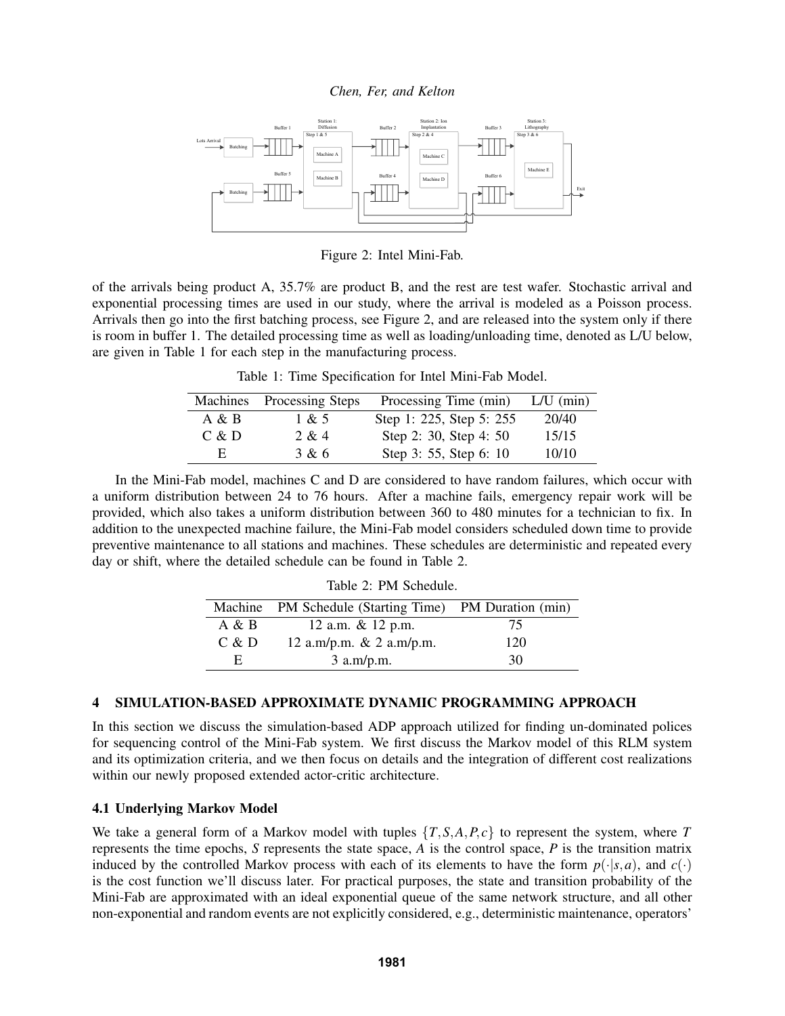*Chen, Fer, and Kelton*



Figure 2: Intel Mini-Fab.

of the arrivals being product A, 35.7% are product B, and the rest are test wafer. Stochastic arrival and exponential processing times are used in our study, where the arrival is modeled as a Poisson process. Arrivals then go into the first batching process, see Figure 2, and are released into the system only if there is room in buffer 1. The detailed processing time as well as loading/unloading time, denoted as L/U below, are given in Table 1 for each step in the manufacturing process.

Table 1: Time Specification for Intel Mini-Fab Model.

|       | Machines Processing Steps | Processing Time (min)    | $L/U$ (min) |
|-------|---------------------------|--------------------------|-------------|
| A & B | 1 & 5                     | Step 1: 225, Step 5: 255 | 20/40       |
| C & D | 2 & 4                     | Step 2: 30, Step 4: 50   | 15/15       |
| Е.    | 3 & 6                     | Step 3: 55, Step 6: 10   | 10/10       |

In the Mini-Fab model, machines C and D are considered to have random failures, which occur with a uniform distribution between 24 to 76 hours. After a machine fails, emergency repair work will be provided, which also takes a uniform distribution between 360 to 480 minutes for a technician to fix. In addition to the unexpected machine failure, the Mini-Fab model considers scheduled down time to provide preventive maintenance to all stations and machines. These schedules are deterministic and repeated every day or shift, where the detailed schedule can be found in Table 2.

| Machine PM Schedule (Starting Time) PM Duration (min) |     |
|-------------------------------------------------------|-----|
| 12 a.m. & 12 p.m.                                     | 75  |
| 12 a.m/p.m. $& 2$ a.m/p.m.                            | 120 |
| $3$ a.m/p.m.                                          | 30  |
|                                                       |     |

Table 2: PM Schedule.

# 4 SIMULATION-BASED APPROXIMATE DYNAMIC PROGRAMMING APPROACH

In this section we discuss the simulation-based ADP approach utilized for finding un-dominated polices for sequencing control of the Mini-Fab system. We first discuss the Markov model of this RLM system and its optimization criteria, and we then focus on details and the integration of different cost realizations within our newly proposed extended actor-critic architecture.

# 4.1 Underlying Markov Model

We take a general form of a Markov model with tuples  ${T, S, A, P, c}$  to represent the system, where *T* represents the time epochs, *S* represents the state space, *A* is the control space, *P* is the transition matrix induced by the controlled Markov process with each of its elements to have the form  $p(\cdot|s, a)$ , and  $c(\cdot)$ is the cost function we'll discuss later. For practical purposes, the state and transition probability of the Mini-Fab are approximated with an ideal exponential queue of the same network structure, and all other non-exponential and random events are not explicitly considered, e.g., deterministic maintenance, operators'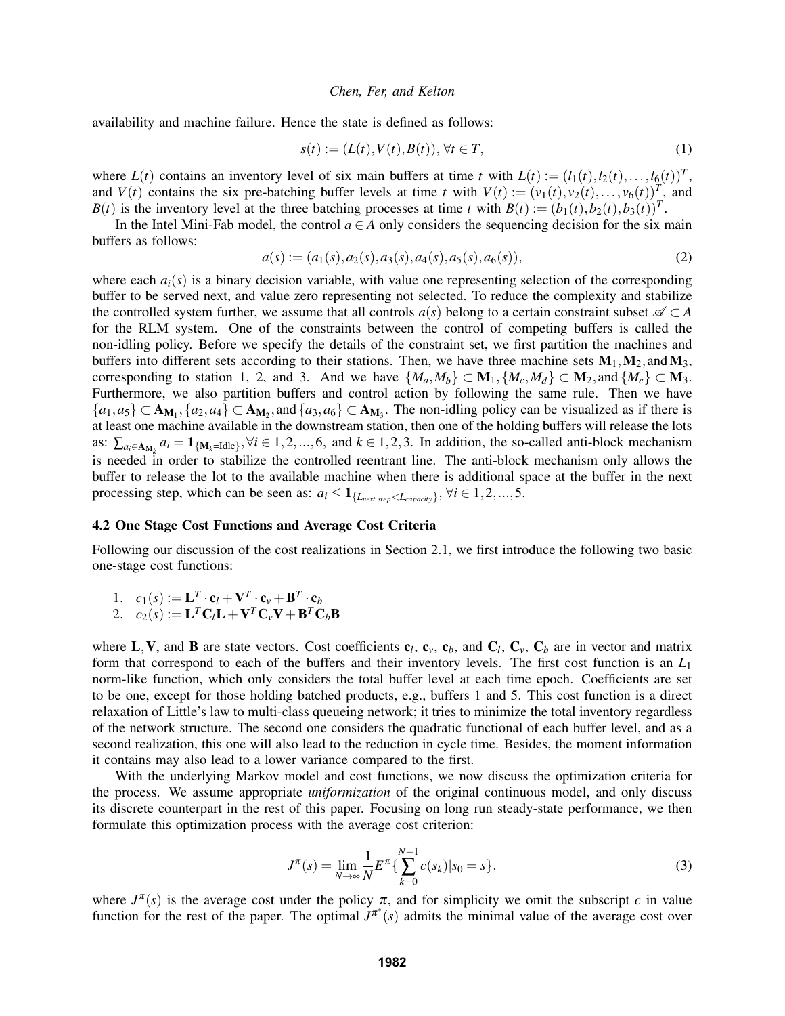availability and machine failure. Hence the state is defined as follows:

$$
s(t) := (L(t), V(t), B(t)), \forall t \in T,
$$
\n
$$
(1)
$$

where  $L(t)$  contains an inventory level of six main buffers at time *t* with  $L(t) := (l_1(t), l_2(t), \ldots, l_6(t))^T$ , and  $V(t)$  contains the six pre-batching buffer levels at time *t* with  $V(t) := (v_1(t), v_2(t), \ldots, v_6(t))^T$ , and *B*(*t*) is the inventory level at the three batching processes at time *t* with  $B(t) := (b_1(t), b_2(t), b_3(t))^T$ .

In the Intel Mini-Fab model, the control  $a \in A$  only considers the sequencing decision for the six main buffers as follows:

$$
a(s) := (a_1(s), a_2(s), a_3(s), a_4(s), a_5(s), a_6(s)),
$$
\n(2)

where each  $a_i(s)$  is a binary decision variable, with value one representing selection of the corresponding buffer to be served next, and value zero representing not selected. To reduce the complexity and stabilize the controlled system further, we assume that all controls  $a(s)$  belong to a certain constraint subset  $\mathscr{A} \subset A$ for the RLM system. One of the constraints between the control of competing buffers is called the non-idling policy. Before we specify the details of the constraint set, we first partition the machines and buffers into different sets according to their stations. Then, we have three machine sets  $M_1, M_2$ , and  $M_3$ , corresponding to station 1, 2, and 3. And we have  $\{M_a, M_b\} \subset \mathbf{M}_1, \{M_c, M_d\} \subset \mathbf{M}_2$ , and  $\{M_e\} \subset \mathbf{M}_3$ . Furthermore, we also partition buffers and control action by following the same rule. Then we have  ${a_1, a_5} \subset \mathbf{A_{M_1}}, {a_2, a_4} \subset \mathbf{A_{M_2}},$  and  ${a_3, a_6} \subset \mathbf{A_{M_3}}$ . The non-idling policy can be visualized as if there is at least one machine available in the downstream station, then one of the holding buffers will release the lots as:  $\sum_{a_i \in A_{M_k}} a_i = \mathbf{1}_{\{M_k = \text{Idle}\}\}, \forall i \in 1, 2, ..., 6, \text{ and } k \in 1, 2, 3.$  In addition, the so-called anti-block mechanism is needed in order to stabilize the controlled reentrant line. The anti-block mechanism only allows the buffer to release the lot to the available machine when there is additional space at the buffer in the next processing step, which can be seen as:  $a_i \leq \mathbf{1}_{\{L_{next\ step} < L_{capacity}\}}$ ,  $\forall i \in 1, 2, ..., 5$ .

#### 4.2 One Stage Cost Functions and Average Cost Criteria

Following our discussion of the cost realizations in Section 2.1, we first introduce the following two basic one-stage cost functions:

1. 
$$
c_1(s) := \mathbf{L}_x^T \cdot \mathbf{c}_l + \mathbf{V}^T \cdot \mathbf{c}_v + \mathbf{B}^T \cdot \mathbf{c}_b
$$

2. 
$$
c_2(s) := \mathbf{L}^T \mathbf{C}_l \mathbf{L} + \mathbf{V}^T \mathbf{C}_v \mathbf{V} + \mathbf{B}^T \mathbf{C}_b \mathbf{B}
$$

where L, V, and B are state vectors. Cost coefficients  $c_l$ ,  $c_v$ ,  $c_b$ , and  $C_l$ ,  $C_v$ ,  $C_b$  are in vector and matrix form that correspond to each of the buffers and their inventory levels. The first cost function is an *L*<sup>1</sup> norm-like function, which only considers the total buffer level at each time epoch. Coefficients are set to be one, except for those holding batched products, e.g., buffers 1 and 5. This cost function is a direct relaxation of Little's law to multi-class queueing network; it tries to minimize the total inventory regardless of the network structure. The second one considers the quadratic functional of each buffer level, and as a second realization, this one will also lead to the reduction in cycle time. Besides, the moment information it contains may also lead to a lower variance compared to the first.

With the underlying Markov model and cost functions, we now discuss the optimization criteria for the process. We assume appropriate *uniformization* of the original continuous model, and only discuss its discrete counterpart in the rest of this paper. Focusing on long run steady-state performance, we then formulate this optimization process with the average cost criterion:

$$
J^{\pi}(s) = \lim_{N \to \infty} \frac{1}{N} E^{\pi} \{ \sum_{k=0}^{N-1} c(s_k) | s_0 = s \},
$$
\n(3)

where  $J^{\pi}(s)$  is the average cost under the policy  $\pi$ , and for simplicity we omit the subscript *c* in value function for the rest of the paper. The optimal  $J^{\pi^*}(s)$  admits the minimal value of the average cost over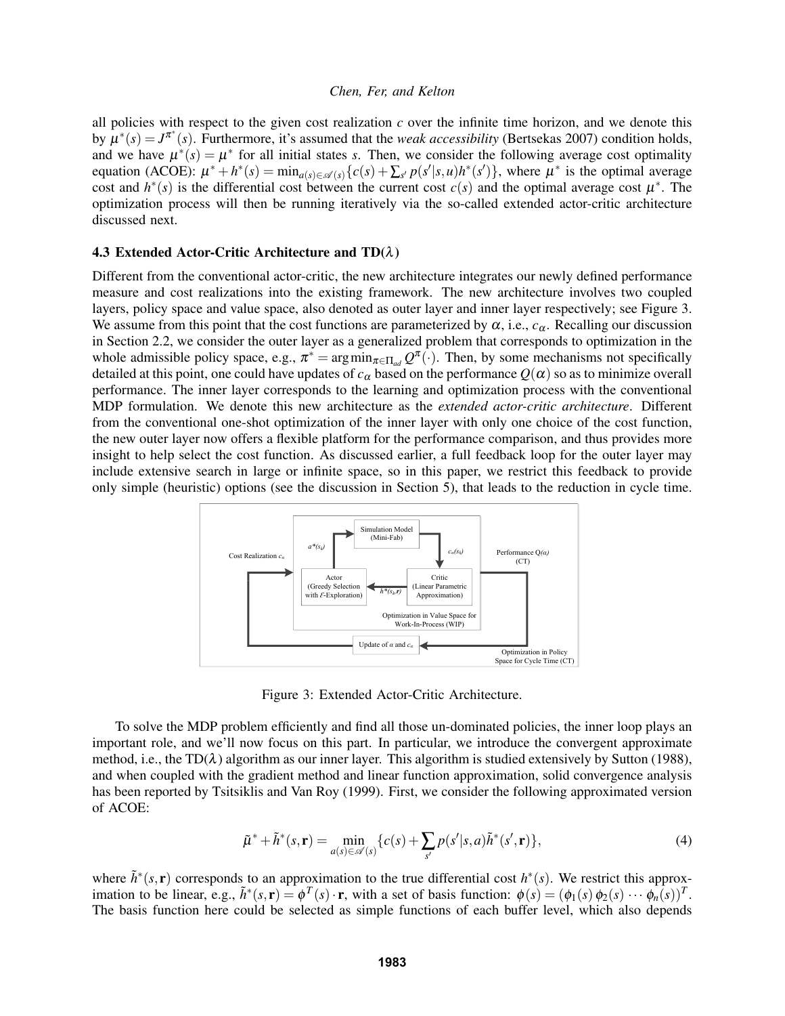all policies with respect to the given cost realization  $c$  over the infinite time horizon, and we denote this by  $\mu^*(s) = J^{\pi^*}(s)$ . Furthermore, it's assumed that the *weak accessibility* (Bertsekas 2007) condition holds, and we have  $\mu^*(s) = \mu^*$  for all initial states *s*. Then, we consider the following average cost optimality equation (ACOE):  $\mu^* + h^*(s) = \min_{a(s) \in \mathcal{A}(s)} \{c(s) + \sum_{s'} p(s'|s, u)h^*(s')\}$ , where  $\mu^*$  is the optimal average cost and  $h^*(s)$  is the differential cost between the current cost  $c(s)$  and the optimal average cost  $\mu^*$ . The optimization process will then be running iteratively via the so-called extended actor-critic architecture discussed next.

#### 4.3 Extended Actor-Critic Architecture and  $TD(\lambda)$

Different from the conventional actor-critic, the new architecture integrates our newly defined performance measure and cost realizations into the existing framework. The new architecture involves two coupled layers, policy space and value space, also denoted as outer layer and inner layer respectively; see Figure 3. We assume from this point that the cost functions are parameterized by  $\alpha$ , i.e.,  $c_{\alpha}$ . Recalling our discussion in Section 2.2, we consider the outer layer as a generalized problem that corresponds to optimization in the whole admissible policy space, e.g.,  $\pi^* = \arg \min_{\pi \in \Pi_{ad}} Q^{\pi}(\cdot)$ . Then, by some mechanisms not specifically detailed at this point, one could have updates of  $c_\alpha$  based on the performance  $Q(\alpha)$  so as to minimize overall performance. The inner layer corresponds to the learning and optimization process with the conventional MDP formulation. We denote this new architecture as the *extended actor-critic architecture*. Different from the conventional one-shot optimization of the inner layer with only one choice of the cost function, the new outer layer now offers a flexible platform for the performance comparison, and thus provides more insight to help select the cost function. As discussed earlier, a full feedback loop for the outer layer may include extensive search in large or infinite space, so in this paper, we restrict this feedback to provide only simple (heuristic) options (see the discussion in Section 5), that leads to the reduction in cycle time.



Figure 3: Extended Actor-Critic Architecture.

To solve the MDP problem efficiently and find all those un-dominated policies, the inner loop plays an important role, and we'll now focus on this part. In particular, we introduce the convergent approximate method, i.e., the TD( $\lambda$ ) algorithm as our inner layer. This algorithm is studied extensively by Sutton (1988), and when coupled with the gradient method and linear function approximation, solid convergence analysis has been reported by Tsitsiklis and Van Roy (1999). First, we consider the following approximated version of ACOE:

$$
\tilde{\mu}^* + \tilde{h}^*(s, \mathbf{r}) = \min_{a(s) \in \mathscr{A}(s)} \{c(s) + \sum_{s'} p(s'|s, a)\tilde{h}^*(s', \mathbf{r})\},\tag{4}
$$

where  $\tilde{h}^*(s, \mathbf{r})$  corresponds to an approximation to the true differential cost  $h^*(s)$ . We restrict this approximation to be linear, e.g.,  $\tilde{h}^*(s, \mathbf{r}) = \phi^T(s) \cdot \mathbf{r}$ , with a set of basis function:  $\phi(s) = (\phi_1(s) \phi_2(s) \cdots \phi_n(s))^T$ . The basis function here could be selected as simple functions of each buffer level, which also depends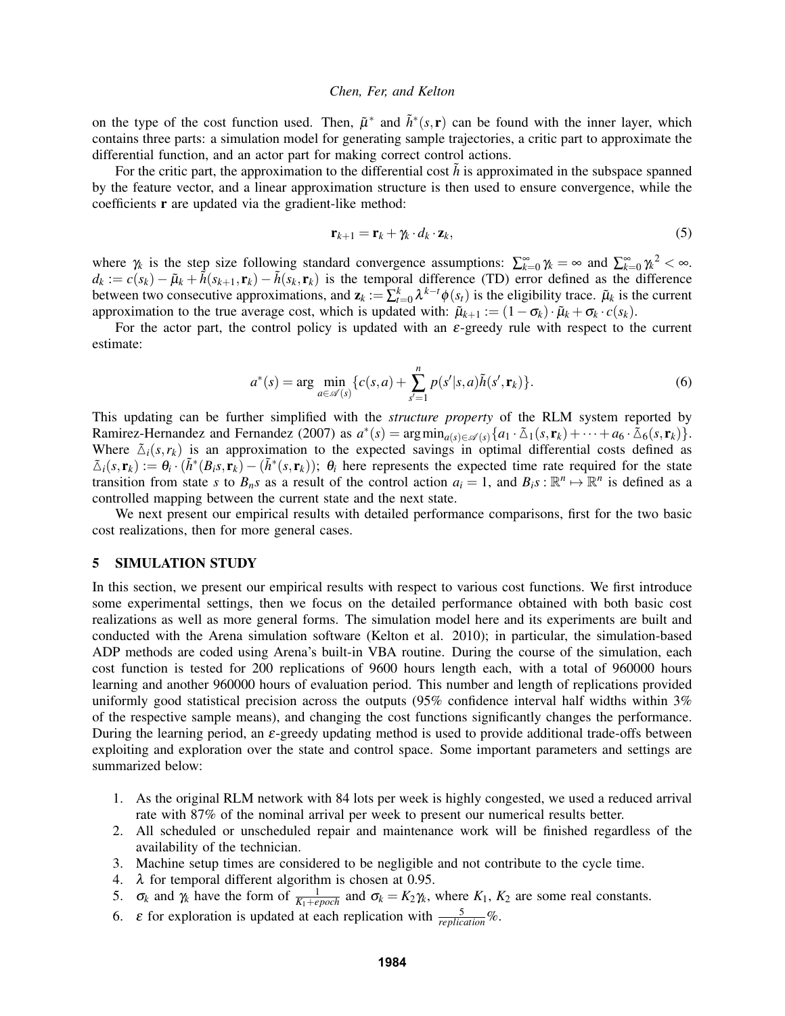on the type of the cost function used. Then,  $\tilde{\mu}^*$  and  $\tilde{h}^*(s, \mathbf{r})$  can be found with the inner layer, which contains three parts: a simulation model for generating sample trajectories, a critic part to approximate the differential function, and an actor part for making correct control actions.

For the critic part, the approximation to the differential cost  $\tilde{h}$  is approximated in the subspace spanned by the feature vector, and a linear approximation structure is then used to ensure convergence, while the coefficients r are updated via the gradient-like method:

$$
\mathbf{r}_{k+1} = \mathbf{r}_k + \gamma_k \cdot d_k \cdot \mathbf{z}_k,\tag{5}
$$

where  $\gamma_k$  is the step size following standard convergence assumptions:  $\sum_{k=0}^{\infty} \gamma_k = \infty$  and  $\sum_{k=0}^{\infty} \gamma_k^2 < \infty$ .  $d_k := c(s_k) - \tilde{\mu}_k + \hat{h}(s_{k+1}, \mathbf{r}_k) - \tilde{h}(s_k, \mathbf{r}_k)$  is the temporal difference (TD) error defined as the difference between two consecutive approximations, and  $z_k := \sum_{t=0}^k \lambda^{k-t} \phi(s_t)$  is the eligibility trace.  $\tilde{\mu}_k$  is the current approximation to the true average cost, which is updated with:  $\tilde{\mu}_{k+1} := (1 - \sigma_k) \cdot \tilde{\mu}_k + \sigma_k \cdot c(s_k)$ .

For the actor part, the control policy is updated with an ε-greedy rule with respect to the current estimate:

$$
a^*(s) = \arg\min_{a \in \mathscr{A}(s)} \{c(s,a) + \sum_{s'=1}^n p(s'|s,a)\tilde{h}(s', \mathbf{r}_k)\}.
$$
 (6)

This updating can be further simplified with the *structure property* of the RLM system reported by Ramirez-Hernandez and Fernandez (2007) as  $a^*(s) = \arg \min_{a(s) \in \mathcal{A}(s)} \{a_1 \cdot \tilde{\Delta}_1(s, \mathbf{r}_k) + \cdots + a_6 \cdot \tilde{\Delta}_6(s, \mathbf{r}_k)\}.$ Where  $\tilde{\Delta}_i(s,r_k)$  is an approximation to the expected savings in optimal differential costs defined as  $\tilde{\Delta}_i(s, \mathbf{r}_k) := \theta_i \cdot (\tilde{h}^*(B_i s, \mathbf{r}_k) - (\tilde{h}^*(s, \mathbf{r}_k)); \theta_i$  here represents the expected time rate required for the state transition from state *s* to  $B_n s$  as a result of the control action  $a_i = 1$ , and  $B_i s : \mathbb{R}^n \mapsto \mathbb{R}^n$  is defined as a controlled mapping between the current state and the next state.

We next present our empirical results with detailed performance comparisons, first for the two basic cost realizations, then for more general cases.

#### 5 SIMULATION STUDY

In this section, we present our empirical results with respect to various cost functions. We first introduce some experimental settings, then we focus on the detailed performance obtained with both basic cost realizations as well as more general forms. The simulation model here and its experiments are built and conducted with the Arena simulation software (Kelton et al. 2010); in particular, the simulation-based ADP methods are coded using Arena's built-in VBA routine. During the course of the simulation, each cost function is tested for 200 replications of 9600 hours length each, with a total of 960000 hours learning and another 960000 hours of evaluation period. This number and length of replications provided uniformly good statistical precision across the outputs (95% confidence interval half widths within 3% of the respective sample means), and changing the cost functions significantly changes the performance. During the learning period, an  $\varepsilon$ -greedy updating method is used to provide additional trade-offs between exploiting and exploration over the state and control space. Some important parameters and settings are summarized below:

- 1. As the original RLM network with 84 lots per week is highly congested, we used a reduced arrival rate with 87% of the nominal arrival per week to present our numerical results better.
- 2. All scheduled or unscheduled repair and maintenance work will be finished regardless of the availability of the technician.
- 3. Machine setup times are considered to be negligible and not contribute to the cycle time.
- 4.  $\lambda$  for temporal different algorithm is chosen at 0.95.
- 5.  $\sigma_k$  and  $\gamma_k$  have the form of  $\frac{1}{K_1+epoch}$  and  $\sigma_k = K_2\gamma_k$ , where  $K_1$ ,  $K_2$  are some real constants.
- 6.  $\varepsilon$  for exploration is updated at each replication with  $\frac{5}{replication}\%$ .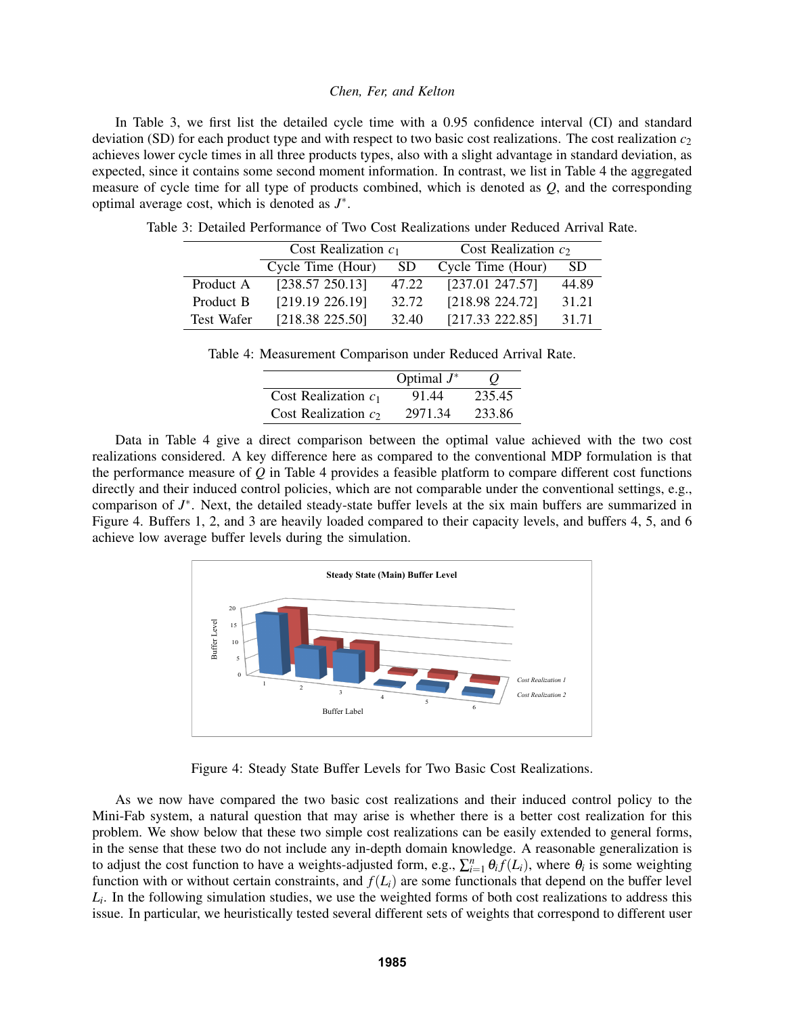In Table 3, we first list the detailed cycle time with a 0.95 confidence interval (CI) and standard deviation (SD) for each product type and with respect to two basic cost realizations. The cost realization  $c<sub>2</sub>$ achieves lower cycle times in all three products types, also with a slight advantage in standard deviation, as expected, since it contains some second moment information. In contrast, we list in Table 4 the aggregated measure of cycle time for all type of products combined, which is denoted as *Q*, and the corresponding optimal average cost, which is denoted as *J* ∗ .

|                   | Cost Realization $c_1$ |           | Cost Realization $c_2$ |       |  |
|-------------------|------------------------|-----------|------------------------|-------|--|
|                   | Cycle Time (Hour)      | <b>SD</b> | Cycle Time (Hour)      | SD.   |  |
| Product A         | [238.57 250.13]        | 47.22     | [237.01 247.57]        | 44.89 |  |
| Product B         | [219.19 226.19]        | 32.72     | [218.98 224.72]        | 31.21 |  |
| <b>Test Wafer</b> | [218.38 225.50]        | 32.40     | [217.33 222.85]        | 31.71 |  |

Table 3: Detailed Performance of Two Cost Realizations under Reduced Arrival Rate.

| Table 4: Measurement Comparison under Reduced Arrival Rate. |  |  |  |  |
|-------------------------------------------------------------|--|--|--|--|
|-------------------------------------------------------------|--|--|--|--|

|                        | Optimal $J^*$ | O      |
|------------------------|---------------|--------|
| Cost Realization $c_1$ | 91.44         | 235.45 |
| Cost Realization $c_2$ | 2971.34       | 233.86 |

Data in Table 4 give a direct comparison between the optimal value achieved with the two cost realizations considered. A key difference here as compared to the conventional MDP formulation is that the performance measure of *Q* in Table 4 provides a feasible platform to compare different cost functions directly and their induced control policies, which are not comparable under the conventional settings, e.g., comparison of  $J^*$ . Next, the detailed steady-state buffer levels at the six main buffers are summarized in Figure 4. Buffers 1, 2, and 3 are heavily loaded compared to their capacity levels, and buffers 4, 5, and 6 achieve low average buffer levels during the simulation.



Figure 4: Steady State Buffer Levels for Two Basic Cost Realizations.

As we now have compared the two basic cost realizations and their induced control policy to the Mini-Fab system, a natural question that may arise is whether there is a better cost realization for this problem. We show below that these two simple cost realizations can be easily extended to general forms, in the sense that these two do not include any in-depth domain knowledge. A reasonable generalization is to adjust the cost function to have a weights-adjusted form, e.g.,  $\sum_{i=1}^{n} \theta_i f(L_i)$ , where  $\theta_i$  is some weighting function with or without certain constraints, and  $f(L_i)$  are some functionals that depend on the buffer level *Li* . In the following simulation studies, we use the weighted forms of both cost realizations to address this issue. In particular, we heuristically tested several different sets of weights that correspond to different user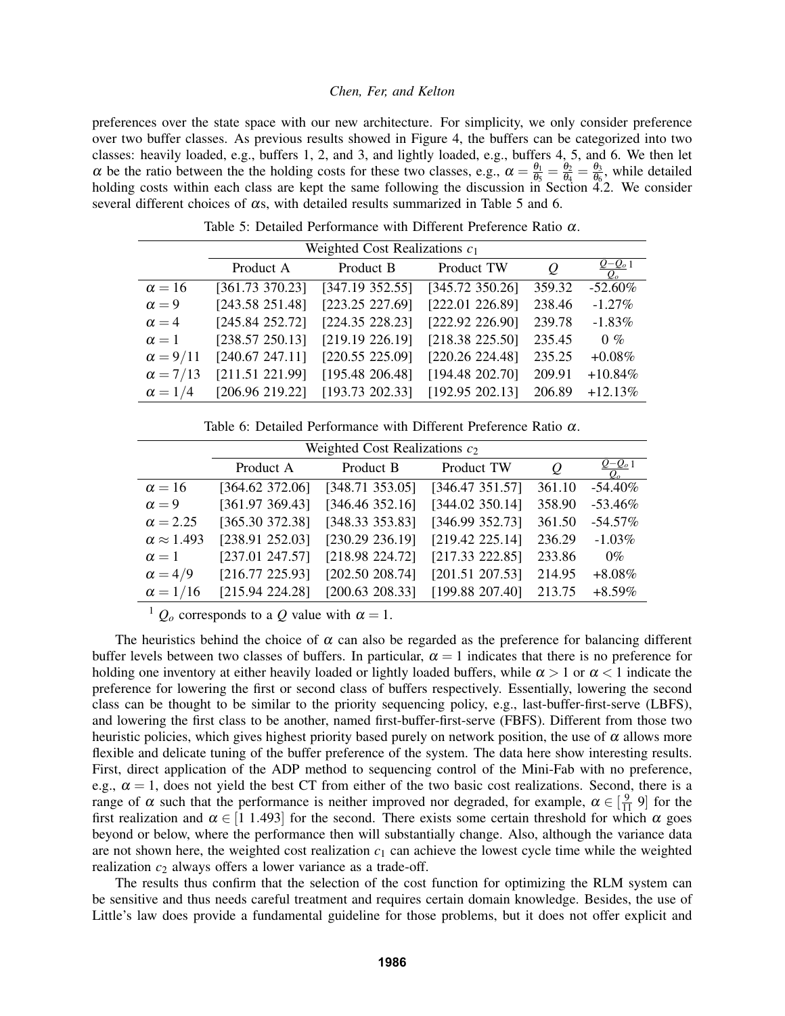preferences over the state space with our new architecture. For simplicity, we only consider preference over two buffer classes. As previous results showed in Figure 4, the buffers can be categorized into two classes: heavily loaded, e.g., buffers 1, 2, and 3, and lightly loaded, e.g., buffers 4, 5, and 6. We then let  $\alpha$  be the ratio between the the holding costs for these two classes, e.g.,  $\alpha = \frac{\theta_1}{\theta_2}$  $\frac{\theta_1}{\theta_5}=\frac{\theta_2}{\theta_4}$  $\frac{\theta_2}{\theta_4}=\frac{\theta_3}{\theta_6}$  $\frac{\theta_3}{\theta_6}$ , while detailed holding costs within each class are kept the same following the discussion in Section 4.2. We consider several different choices of  $\alpha s$ , with detailed results summarized in Table 5 and 6.

|                 | Weighted Cost Realizations $c_1$ |                 |                 |        |                    |
|-----------------|----------------------------------|-----------------|-----------------|--------|--------------------|
|                 | Product A                        | Product B       | Product TW      | 0      | $Q-Q_o 1$<br>$Q_o$ |
| $\alpha = 16$   | [361.73 370.23]                  | [347.19 352.55] | [345.72 350.26] | 359.32 | $-52.60\%$         |
| $\alpha = 9$    | [243.58 251.48]                  | [223.25 227.69] | [222.01 226.89] | 238.46 | $-1.27%$           |
| $\alpha = 4$    | [245.84 252.72]                  | [224.35 228.23] | [222.92 226.90] | 239.78 | $-1.83%$           |
| $\alpha = 1$    | [238.57 250.13]                  | [219.19 226.19] | [218.38 225.50] | 235.45 | $0\%$              |
| $\alpha = 9/11$ | [240.67 247.11]                  | [220.55 225.09] | [220.26 224.48] | 235.25 | $+0.08\%$          |
| $\alpha = 7/13$ | [211.51 221.99]                  | [195.48 206.48] | [194.48 202.70] | 209.91 | $+10.84%$          |
| $\alpha = 1/4$  | [206.96 219.22]                  | [193.73 202.33] | [192.95 202.13] | 206.89 | $+12.13%$          |

Table 5: Detailed Performance with Different Preference Ratio  $\alpha$ .

Table 6: Detailed Performance with Different Preference Ratio  $\alpha$ .

| Weighted Cost Realizations $c_2$ |                 |                 |                 |        |            |
|----------------------------------|-----------------|-----------------|-----------------|--------|------------|
|                                  | Product A       | Product B       | Product TW      | O      | $Q-Q_o 1$  |
| $\alpha = 16$                    | [364.62 372.06] | [348.71 353.05] | [346.47 351.57] | 361.10 | $-54.40\%$ |
| $\alpha = 9$                     | [361.97 369.43] | [346.46352.16]  | [344.02 350.14] | 358.90 | $-53.46\%$ |
| $\alpha = 2.25$                  | [365.30 372.38] | [348.33 353.83] | [346.99 352.73] | 361.50 | $-54.57\%$ |
| $\alpha \approx 1.493$           | [238.91 252.03] | [230.29 236.19] | [219.42 225.14] | 236.29 | $-1.03\%$  |
| $\alpha = 1$                     | [237.01 247.57] | [218.98 224.72] | [217.33 222.85] | 233.86 | $0\%$      |
| $\alpha = 4/9$                   | [216.77 225.93] | [202.50 208.74] | [201.51 207.53] | 214.95 | $+8.08\%$  |
| $\alpha = 1/16$                  | [215.94 224.28] | [200.63 208.33] | [199.88 207.40] | 213.75 | $+8.59%$   |

<sup>1</sup>  $Q$ <sup>0</sup> corresponds to a *Q* value with  $\alpha = 1$ .

The heuristics behind the choice of  $\alpha$  can also be regarded as the preference for balancing different buffer levels between two classes of buffers. In particular,  $\alpha = 1$  indicates that there is no preference for holding one inventory at either heavily loaded or lightly loaded buffers, while  $\alpha > 1$  or  $\alpha < 1$  indicate the preference for lowering the first or second class of buffers respectively. Essentially, lowering the second class can be thought to be similar to the priority sequencing policy, e.g., last-buffer-first-serve (LBFS), and lowering the first class to be another, named first-buffer-first-serve (FBFS). Different from those two heuristic policies, which gives highest priority based purely on network position, the use of  $\alpha$  allows more flexible and delicate tuning of the buffer preference of the system. The data here show interesting results. First, direct application of the ADP method to sequencing control of the Mini-Fab with no preference, e.g.,  $\alpha = 1$ , does not yield the best CT from either of the two basic cost realizations. Second, there is a range of  $\alpha$  such that the performance is neither improved nor degraded, for example,  $\alpha \in \left[\frac{9}{11}\right]$  or the first realization and  $\alpha \in [1 \ 1.493]$  for the second. There exists some certain threshold for which  $\alpha$  goes beyond or below, where the performance then will substantially change. Also, although the variance data are not shown here, the weighted cost realization  $c_1$  can achieve the lowest cycle time while the weighted realization  $c_2$  always offers a lower variance as a trade-off.

The results thus confirm that the selection of the cost function for optimizing the RLM system can be sensitive and thus needs careful treatment and requires certain domain knowledge. Besides, the use of Little's law does provide a fundamental guideline for those problems, but it does not offer explicit and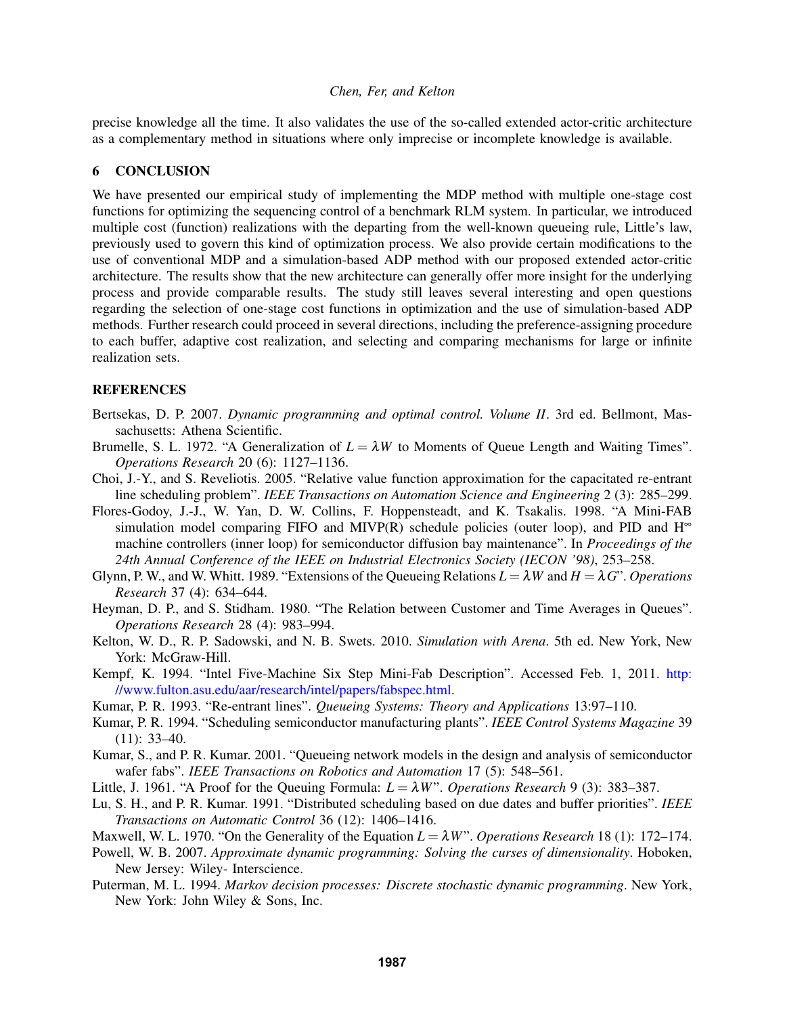precise knowledge all the time. It also validates the use of the so-called extended actor-critic architecture as a complementary method in situations where only imprecise or incomplete knowledge is available.

## 6 CONCLUSION

We have presented our empirical study of implementing the MDP method with multiple one-stage cost functions for optimizing the sequencing control of a benchmark RLM system. In particular, we introduced multiple cost (function) realizations with the departing from the well-known queueing rule, Little's law, previously used to govern this kind of optimization process. We also provide certain modifications to the use of conventional MDP and a simulation-based ADP method with our proposed extended actor-critic architecture. The results show that the new architecture can generally offer more insight for the underlying process and provide comparable results. The study still leaves several interesting and open questions regarding the selection of one-stage cost functions in optimization and the use of simulation-based ADP methods. Further research could proceed in several directions, including the preference-assigning procedure to each buffer, adaptive cost realization, and selecting and comparing mechanisms for large or infinite realization sets.

## **REFERENCES**

- Bertsekas, D. P. 2007. *Dynamic programming and optimal control. Volume II*. 3rd ed. Bellmont, Massachusetts: Athena Scientific.
- Brumelle, S. L. 1972. "A Generalization of  $L = \lambda W$  to Moments of Queue Length and Waiting Times". *Operations Research* 20 (6): 1127–1136.
- Choi, J.-Y., and S. Reveliotis. 2005. "Relative value function approximation for the capacitated re-entrant line scheduling problem". *IEEE Transactions on Automation Science and Engineering* 2 (3): 285–299.
- Flores-Godoy, J.-J., W. Yan, D. W. Collins, F. Hoppensteadt, and K. Tsakalis. 1998. "A Mini-FAB simulation model comparing FIFO and MIVP(R) schedule policies (outer loop), and PID and  $H^{\infty}$ machine controllers (inner loop) for semiconductor diffusion bay maintenance". In *Proceedings of the 24th Annual Conference of the IEEE on Industrial Electronics Society (IECON '98)*, 253–258.
- Glynn, P. W., and W. Whitt. 1989. "Extensions of the Queueing Relations  $L = \lambda W$  and  $H = \lambda G$ ". *Operations Research* 37 (4): 634–644.
- Heyman, D. P., and S. Stidham. 1980. "The Relation between Customer and Time Averages in Queues". *Operations Research* 28 (4): 983–994.
- Kelton, W. D., R. P. Sadowski, and N. B. Swets. 2010. *Simulation with Arena*. 5th ed. New York, New York: McGraw-Hill.
- Kempf, K. 1994. "Intel Five-Machine Six Step Mini-Fab Description". Accessed Feb. 1, 2011. http: //www.fulton.asu.edu/aar/research/intel/papers/fabspec.html.
- Kumar, P. R. 1993. "Re-entrant lines". *Queueing Systems: Theory and Applications* 13:97–110.
- Kumar, P. R. 1994. "Scheduling semiconductor manufacturing plants". *IEEE Control Systems Magazine* 39  $(11): 33-40.$
- Kumar, S., and P. R. Kumar. 2001. "Queueing network models in the design and analysis of semiconductor wafer fabs". *IEEE Transactions on Robotics and Automation* 17 (5): 548–561.
- Little, J. 1961. "A Proof for the Queuing Formula:  $L = \lambda W$ ". *Operations Research* 9 (3): 383–387.
- Lu, S. H., and P. R. Kumar. 1991. "Distributed scheduling based on due dates and buffer priorities". *IEEE Transactions on Automatic Control* 36 (12): 1406–1416.
- Maxwell, W. L. 1970. "On the Generality of the Equation  $L = \lambda W$ ". *Operations Research* 18 (1): 172–174.
- Powell, W. B. 2007. *Approximate dynamic programming: Solving the curses of dimensionality*. Hoboken, New Jersey: Wiley- Interscience.
- Puterman, M. L. 1994. *Markov decision processes: Discrete stochastic dynamic programming*. New York, New York: John Wiley & Sons, Inc.